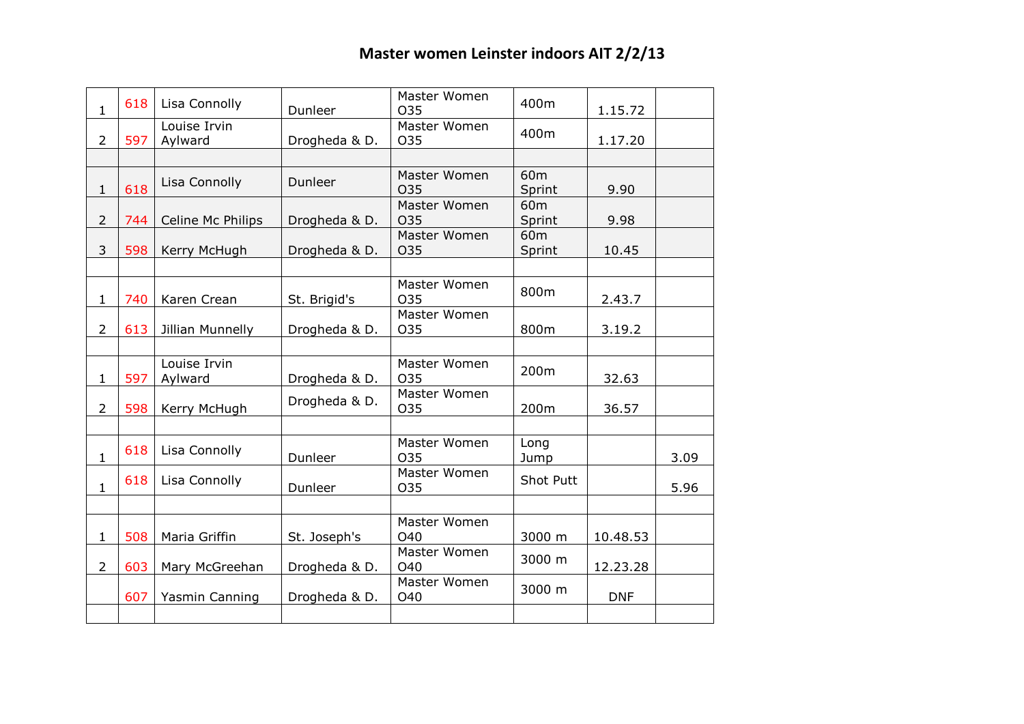| $\mathbf{1}$   | 618 | Lisa Connolly           | Dunleer       | Master Women<br>O35        | 400m                      | 1.15.72    |      |
|----------------|-----|-------------------------|---------------|----------------------------|---------------------------|------------|------|
| $\overline{2}$ | 597 | Louise Irvin<br>Aylward | Drogheda & D. | Master Women<br>O35        | 400m                      | 1.17.20    |      |
|                |     |                         |               |                            |                           |            |      |
| $\mathbf{1}$   | 618 | Lisa Connolly           | Dunleer       | Master Women<br>O35        | 60 <sub>m</sub><br>Sprint | 9.90       |      |
| $\overline{2}$ | 744 | Celine Mc Philips       | Drogheda & D. | Master Women<br>O35        | 60 <sub>m</sub><br>Sprint | 9.98       |      |
| 3              | 598 | Kerry McHugh            | Drogheda & D. | Master Women<br>O35        | 60 <sub>m</sub><br>Sprint | 10.45      |      |
|                |     |                         |               |                            |                           |            |      |
| $\mathbf{1}$   | 740 | Karen Crean             | St. Brigid's  | Master Women<br>O35        | 800m                      | 2.43.7     |      |
| $\overline{2}$ | 613 | Jillian Munnelly        | Drogheda & D. | Master Women<br>O35        | 800m                      | 3.19.2     |      |
|                |     |                         |               |                            |                           |            |      |
| $\mathbf{1}$   | 597 | Louise Irvin<br>Aylward | Drogheda & D. | Master Women<br>O35        | 200m                      | 32.63      |      |
| $\overline{2}$ | 598 | Kerry McHugh            | Drogheda & D. | Master Women<br>035        | 200m                      | 36.57      |      |
|                |     |                         |               |                            |                           |            |      |
| $\mathbf{1}$   | 618 | Lisa Connolly           | Dunleer       | Master Women<br>O35        | Long<br>Jump              |            | 3.09 |
| $\mathbf{1}$   | 618 | Lisa Connolly           | Dunleer       | Master Women<br>O35        | Shot Putt                 |            | 5.96 |
|                |     |                         |               |                            |                           |            |      |
| $\mathbf{1}$   | 508 | Maria Griffin           | St. Joseph's  | Master Women<br><b>O40</b> | 3000 m                    | 10.48.53   |      |
| $\overline{2}$ | 603 | Mary McGreehan          | Drogheda & D. | Master Women<br><b>O40</b> | 3000 m                    | 12.23.28   |      |
|                | 607 | Yasmin Canning          | Drogheda & D. | Master Women<br>O40        | 3000 m                    | <b>DNF</b> |      |
|                |     |                         |               |                            |                           |            |      |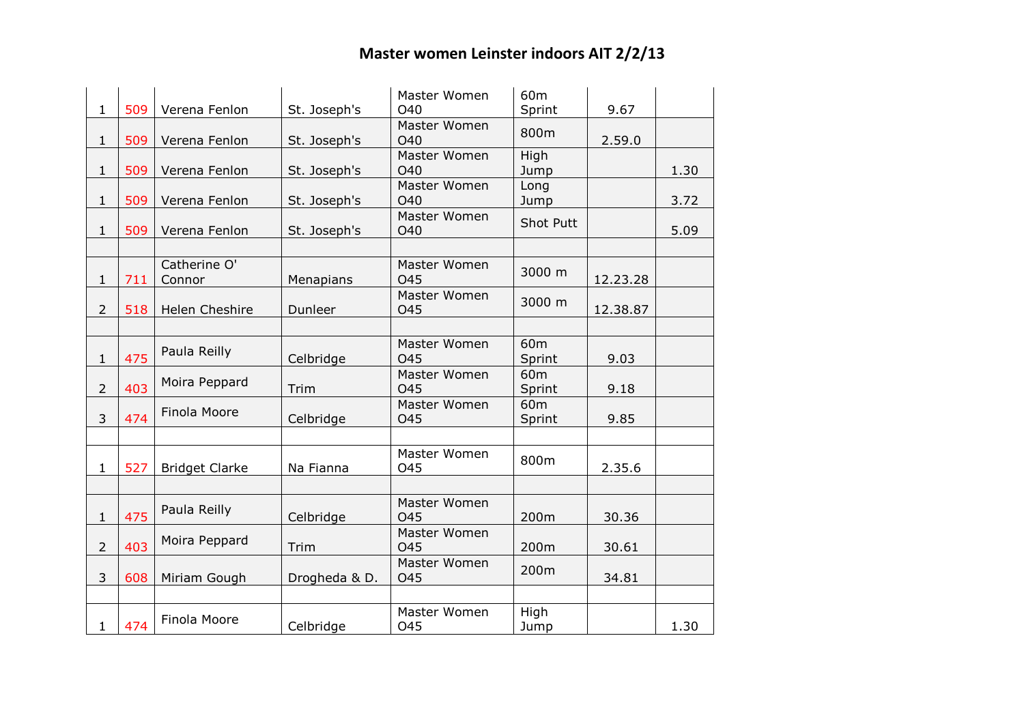|                |     |                       |               | Master Women    | 60 <sub>m</sub> |          |      |
|----------------|-----|-----------------------|---------------|-----------------|-----------------|----------|------|
| $\mathbf{1}$   | 509 | Verena Fenlon         | St. Joseph's  | O <sub>40</sub> | Sprint          | 9.67     |      |
|                |     |                       |               | Master Women    | 800m            |          |      |
| $\mathbf{1}$   | 509 | Verena Fenlon         | St. Joseph's  | <b>O40</b>      |                 | 2.59.0   |      |
|                |     |                       |               | Master Women    | High            |          |      |
| $\mathbf{1}$   | 509 | Verena Fenlon         | St. Joseph's  | O40             | Jump            |          | 1.30 |
|                |     |                       |               | Master Women    | Long            |          |      |
| $\mathbf{1}$   | 509 | Verena Fenlon         | St. Joseph's  | O40             | Jump            |          | 3.72 |
|                |     |                       |               | Master Women    | Shot Putt       |          |      |
| $\mathbf{1}$   | 509 | Verena Fenlon         | St. Joseph's  | O40             |                 |          | 5.09 |
|                |     |                       |               |                 |                 |          |      |
|                |     | Catherine O'          |               | Master Women    | 3000 m          |          |      |
| $\mathbf{1}$   | 711 | Connor                | Menapians     | <b>O45</b>      |                 | 12.23.28 |      |
|                |     |                       |               | Master Women    |                 |          |      |
| $\overline{2}$ | 518 | Helen Cheshire        | Dunleer       | O45             | 3000 m          | 12.38.87 |      |
|                |     |                       |               |                 |                 |          |      |
|                |     |                       |               | Master Women    | 60 <sub>m</sub> |          |      |
| $\mathbf{1}$   | 475 | Paula Reilly          | Celbridge     | <b>O45</b>      | Sprint          | 9.03     |      |
|                |     |                       |               | Master Women    | 60 <sub>m</sub> |          |      |
| $\overline{2}$ | 403 | Moira Peppard         | Trim          | <b>O45</b>      | Sprint          | 9.18     |      |
|                |     |                       |               | Master Women    | 60 <sub>m</sub> |          |      |
| 3              | 474 | Finola Moore          | Celbridge     | <b>O45</b>      | Sprint          | 9.85     |      |
|                |     |                       |               |                 |                 |          |      |
|                |     |                       |               |                 |                 |          |      |
|                |     |                       |               | Master Women    | 800m            |          |      |
| $\mathbf{1}$   | 527 | <b>Bridget Clarke</b> | Na Fianna     | O45             |                 | 2.35.6   |      |
|                |     |                       |               |                 |                 |          |      |
|                |     |                       |               | Master Women    |                 |          |      |
| $\mathbf{1}$   | 475 | Paula Reilly          | Celbridge     | <b>O45</b>      | 200m            | 30.36    |      |
|                |     |                       |               | Master Women    |                 |          |      |
| $\overline{2}$ | 403 | Moira Peppard         | Trim          | <b>O45</b>      | 200m            | 30.61    |      |
|                |     |                       |               | Master Women    |                 |          |      |
| 3              | 608 | Miriam Gough          | Drogheda & D. | O45             | 200m            | 34.81    |      |
|                |     |                       |               |                 |                 |          |      |
|                |     |                       |               | Master Women    | High            |          |      |
| $\mathbf{1}$   | 474 | Finola Moore          | Celbridge     | O45             | Jump            |          | 1.30 |
|                |     |                       |               |                 |                 |          |      |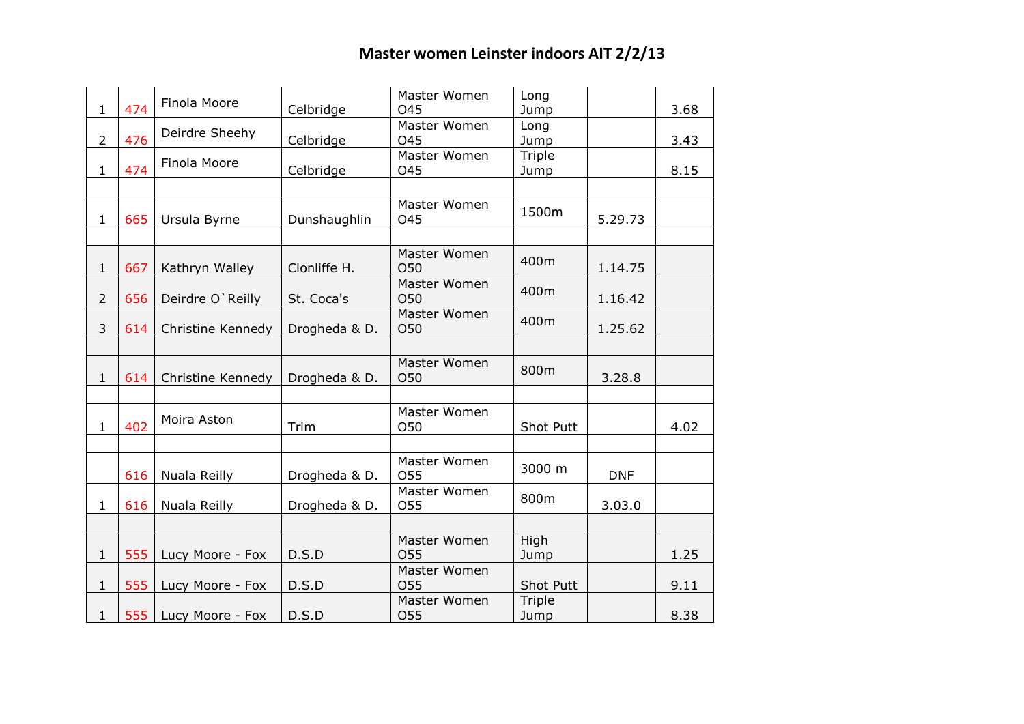| $\mathbf{1}$   | 474 | Finola Moore           | Celbridge     | Master Women<br><b>O45</b>      | Long<br>Jump               |            | 3.68 |
|----------------|-----|------------------------|---------------|---------------------------------|----------------------------|------------|------|
|                |     |                        |               | Master Women                    | Long                       |            |      |
| $\overline{2}$ | 476 | Deirdre Sheehy         | Celbridge     | O45                             | Jump                       |            | 3.43 |
|                |     | Finola Moore           |               | Master Women                    | Triple                     |            |      |
| $\mathbf{1}$   | 474 |                        | Celbridge     | O45                             | Jump                       |            | 8.15 |
|                |     |                        |               |                                 |                            |            |      |
| $\mathbf{1}$   | 665 | Ursula Byrne           | Dunshaughlin  | Master Women<br>O45             | 1500m                      | 5.29.73    |      |
|                |     |                        |               |                                 |                            |            |      |
| $\mathbf{1}$   | 667 | Kathryn Walley         | Clonliffe H.  | Master Women<br>O50             | 400m                       | 1.14.75    |      |
| $\overline{2}$ | 656 | Deirdre O'Reilly       | St. Coca's    | Master Women<br>O50             | 400m                       | 1.16.42    |      |
| 3              | 614 | Christine Kennedy      | Drogheda & D. | Master Women<br><b>O50</b>      | 400m                       | 1.25.62    |      |
|                |     |                        |               |                                 |                            |            |      |
| $\mathbf{1}$   | 614 | Christine Kennedy      | Drogheda & D. | Master Women<br>O50             | 800m                       | 3.28.8     |      |
|                |     |                        |               |                                 |                            |            |      |
| $\mathbf{1}$   | 402 | Moira Aston            | Trim          | Master Women<br>O50             | Shot Putt                  |            | 4.02 |
|                |     |                        |               |                                 |                            |            |      |
|                | 616 | Nuala Reilly           | Drogheda & D. | Master Women<br>O <sub>55</sub> | 3000 m                     | <b>DNF</b> |      |
|                |     |                        |               | Master Women                    | 800m                       |            |      |
| $\mathbf{1}$   | 616 | Nuala Reilly           | Drogheda & D. | O55                             |                            | 3.03.0     |      |
|                |     |                        |               |                                 |                            |            |      |
|                |     |                        |               | Master Women                    | High                       |            |      |
| $\mathbf{1}$   | 555 | Lucy Moore - Fox       | D.S.D         | <b>O55</b>                      | Jump                       |            | 1.25 |
|                |     |                        |               | Master Women                    |                            |            |      |
| $\mathbf{1}$   | 555 | Lucy Moore - Fox       | D.S.D         | <b>O55</b><br>Master Women      | <b>Shot Putt</b><br>Triple |            | 9.11 |
| $\mathbf{1}$   |     | 555   Lucy Moore - Fox | D.S.D         | O55                             | Jump                       |            | 8.38 |